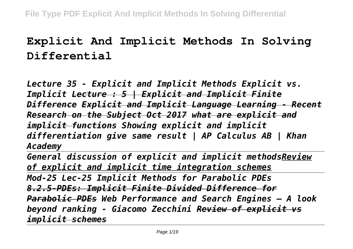## **Explicit And Implicit Methods In Solving Differential**

*Lecture 35 - Explicit and Implicit Methods Explicit vs. Implicit Lecture : 5 | Explicit and Implicit Finite Difference Explicit and Implicit Language Learning - Recent Research on the Subject Oct 2017 what are explicit and implicit functions Showing explicit and implicit differentiation give same result | AP Calculus AB | Khan Academy* 

*General discussion of explicit and implicit methodsReview of explicit and implicit time integration schemes Mod-25 Lec-25 Implicit Methods for Parabolic PDEs 8.2.5-PDEs: Implicit Finite Divided Difference for Parabolic PDEs Web Performance and Search Engines – A look beyond ranking - Giacomo Zecchini Review of explicit vs implicit schemes*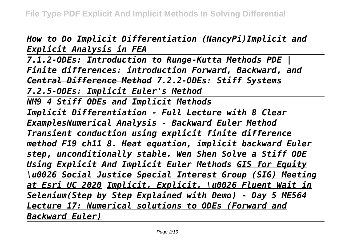*How to Do Implicit Differentiation (NancyPi)Implicit and Explicit Analysis in FEA*

*7.1.2-ODEs: Introduction to Runge-Kutta Methods PDE | Finite differences: introduction Forward, Backward, and Central Difference Method 7.2.2-ODEs: Stiff Systems 7.2.5-ODEs: Implicit Euler's Method*

*NM9 4 Stiff ODEs and Implicit Methods*

*Implicit Differentiation - Full Lecture with 8 Clear ExamplesNumerical Analysis - Backward Euler Method Transient conduction using explicit finite difference method F19 ch11 8. Heat equation, implicit backward Euler step, unconditionally stable. Wen Shen Solve a Stiff ODE Using Explicit And Implicit Euler Methods GIS for Equity \u0026 Social Justice Special Interest Group (SIG) Meeting at Esri UC 2020 Implicit, Explicit, \u0026 Fluent Wait in Selenium(Step by Step Explained with Demo) - Day 5 ME564 Lecture 17: Numerical solutions to ODEs (Forward and Backward Euler)*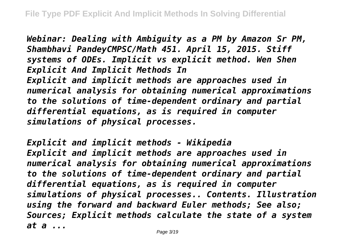*Webinar: Dealing with Ambiguity as a PM by Amazon Sr PM, Shambhavi PandeyCMPSC/Math 451. April 15, 2015. Stiff systems of ODEs. Implicit vs explicit method. Wen Shen Explicit And Implicit Methods In Explicit and implicit methods are approaches used in numerical analysis for obtaining numerical approximations to the solutions of time-dependent ordinary and partial differential equations, as is required in computer simulations of physical processes.*

*Explicit and implicit methods - Wikipedia Explicit and implicit methods are approaches used in numerical analysis for obtaining numerical approximations to the solutions of time-dependent ordinary and partial differential equations, as is required in computer simulations of physical processes.. Contents. Illustration using the forward and backward Euler methods; See also; Sources; Explicit methods calculate the state of a system at a ...*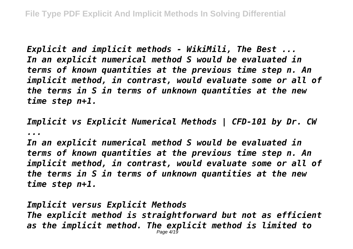*Explicit and implicit methods - WikiMili, The Best ... In an explicit numerical method S would be evaluated in terms of known quantities at the previous time step n. An implicit method, in contrast, would evaluate some or all of the terms in S in terms of unknown quantities at the new time step n+1.*

*Implicit vs Explicit Numerical Methods | CFD-101 by Dr. CW ...*

*In an explicit numerical method S would be evaluated in terms of known quantities at the previous time step n. An implicit method, in contrast, would evaluate some or all of the terms in S in terms of unknown quantities at the new time step n+1.*

*Implicit versus Explicit Methods The explicit method is straightforward but not as efficient as the implicit method. The explicit method is limited to* Page 4/19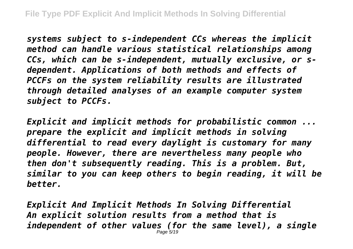*systems subject to s-independent CCs whereas the implicit method can handle various statistical relationships among CCs, which can be s-independent, mutually exclusive, or sdependent. Applications of both methods and effects of PCCFs on the system reliability results are illustrated through detailed analyses of an example computer system subject to PCCFs.*

*Explicit and implicit methods for probabilistic common ... prepare the explicit and implicit methods in solving differential to read every daylight is customary for many people. However, there are nevertheless many people who then don't subsequently reading. This is a problem. But, similar to you can keep others to begin reading, it will be better.*

*Explicit And Implicit Methods In Solving Differential An explicit solution results from a method that is independent of other values (for the same level), a single* Page 5/19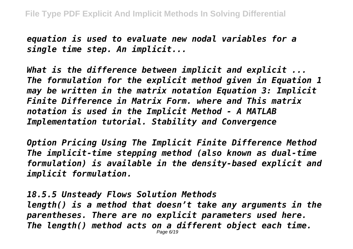*equation is used to evaluate new nodal variables for a single time step. An implicit...*

*What is the difference between implicit and explicit ... The formulation for the explicit method given in Equation 1 may be written in the matrix notation Equation 3: Implicit Finite Difference in Matrix Form. where and This matrix notation is used in the Implicit Method - A MATLAB Implementation tutorial. Stability and Convergence*

*Option Pricing Using The Implicit Finite Difference Method The implicit-time stepping method (also known as dual-time formulation) is available in the density-based explicit and implicit formulation.*

*18.5.5 Unsteady Flows Solution Methods length() is a method that doesn't take any arguments in the parentheses. There are no explicit parameters used here. The length() method acts on a different object each time.* Page 6/19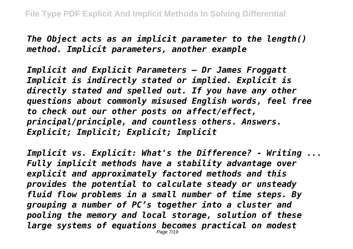*The Object acts as an implicit parameter to the length() method. Implicit parameters, another example*

*Implicit and Explicit Parameters – Dr James Froggatt Implicit is indirectly stated or implied. Explicit is directly stated and spelled out. If you have any other questions about commonly misused English words, feel free to check out our other posts on affect/effect, principal/principle, and countless others. Answers. Explicit; Implicit; Explicit; Implicit*

*Implicit vs. Explicit: What's the Difference? - Writing ... Fully implicit methods have a stability advantage over explicit and approximately factored methods and this provides the potential to calculate steady or unsteady fluid flow problems in a small number of time steps. By grouping a number of PC's together into a cluster and pooling the memory and local storage, solution of these large systems of equations becomes practical on modest* Page 7/19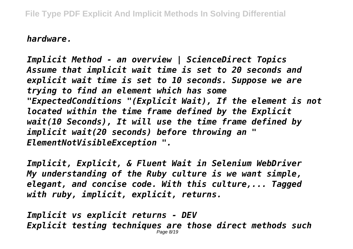*hardware.*

*Implicit Method - an overview | ScienceDirect Topics Assume that implicit wait time is set to 20 seconds and explicit wait time is set to 10 seconds. Suppose we are trying to find an element which has some "ExpectedConditions "(Explicit Wait), If the element is not located within the time frame defined by the Explicit wait(10 Seconds), It will use the time frame defined by implicit wait(20 seconds) before throwing an " ElementNotVisibleException ".*

*Implicit, Explicit, & Fluent Wait in Selenium WebDriver My understanding of the Ruby culture is we want simple, elegant, and concise code. With this culture,... Tagged with ruby, implicit, explicit, returns.*

*Implicit vs explicit returns - DEV Explicit testing techniques are those direct methods such* Page 8/19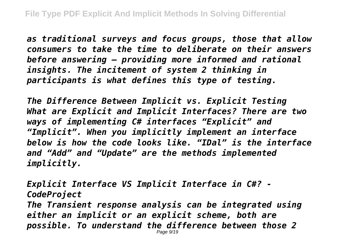*as traditional surveys and focus groups, those that allow consumers to take the time to deliberate on their answers before answering – providing more informed and rational insights. The incitement of system 2 thinking in participants is what defines this type of testing.*

*The Difference Between Implicit vs. Explicit Testing What are Explicit and Implicit Interfaces? There are two ways of implementing C# interfaces "Explicit" and "Implicit". When you implicitly implement an interface below is how the code looks like. "IDal" is the interface and "Add" and "Update" are the methods implemented implicitly.*

*Explicit Interface VS Implicit Interface in C#? - CodeProject The Transient response analysis can be integrated using either an implicit or an explicit scheme, both are possible. To understand the difference between those 2* Page 9/19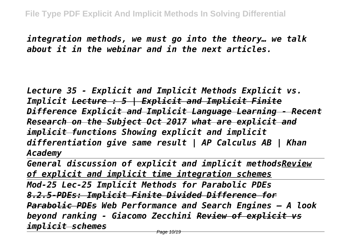*integration methods, we must go into the theory… we talk about it in the webinar and in the next articles.*

*Lecture 35 - Explicit and Implicit Methods Explicit vs. Implicit Lecture : 5 | Explicit and Implicit Finite Difference Explicit and Implicit Language Learning - Recent Research on the Subject Oct 2017 what are explicit and implicit functions Showing explicit and implicit differentiation give same result | AP Calculus AB | Khan Academy* 

*General discussion of explicit and implicit methodsReview of explicit and implicit time integration schemes Mod-25 Lec-25 Implicit Methods for Parabolic PDEs 8.2.5-PDEs: Implicit Finite Divided Difference for Parabolic PDEs Web Performance and Search Engines – A look beyond ranking - Giacomo Zecchini Review of explicit vs implicit schemes*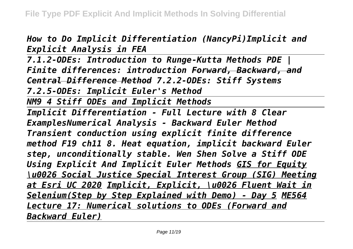*How to Do Implicit Differentiation (NancyPi)Implicit and Explicit Analysis in FEA*

*7.1.2-ODEs: Introduction to Runge-Kutta Methods PDE | Finite differences: introduction Forward, Backward, and Central Difference Method 7.2.2-ODEs: Stiff Systems 7.2.5-ODEs: Implicit Euler's Method*

*NM9 4 Stiff ODEs and Implicit Methods*

*Implicit Differentiation - Full Lecture with 8 Clear ExamplesNumerical Analysis - Backward Euler Method Transient conduction using explicit finite difference method F19 ch11 8. Heat equation, implicit backward Euler step, unconditionally stable. Wen Shen Solve a Stiff ODE Using Explicit And Implicit Euler Methods GIS for Equity \u0026 Social Justice Special Interest Group (SIG) Meeting at Esri UC 2020 Implicit, Explicit, \u0026 Fluent Wait in Selenium(Step by Step Explained with Demo) - Day 5 ME564 Lecture 17: Numerical solutions to ODEs (Forward and Backward Euler)*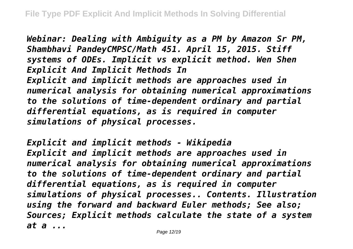*Webinar: Dealing with Ambiguity as a PM by Amazon Sr PM, Shambhavi PandeyCMPSC/Math 451. April 15, 2015. Stiff systems of ODEs. Implicit vs explicit method. Wen Shen Explicit And Implicit Methods In Explicit and implicit methods are approaches used in numerical analysis for obtaining numerical approximations to the solutions of time-dependent ordinary and partial differential equations, as is required in computer simulations of physical processes.*

*Explicit and implicit methods - Wikipedia Explicit and implicit methods are approaches used in numerical analysis for obtaining numerical approximations to the solutions of time-dependent ordinary and partial differential equations, as is required in computer simulations of physical processes.. Contents. Illustration using the forward and backward Euler methods; See also; Sources; Explicit methods calculate the state of a system at a ...*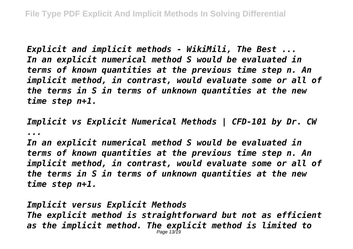*Explicit and implicit methods - WikiMili, The Best ... In an explicit numerical method S would be evaluated in terms of known quantities at the previous time step n. An implicit method, in contrast, would evaluate some or all of the terms in S in terms of unknown quantities at the new time step n+1.*

*Implicit vs Explicit Numerical Methods | CFD-101 by Dr. CW ...*

*In an explicit numerical method S would be evaluated in terms of known quantities at the previous time step n. An implicit method, in contrast, would evaluate some or all of the terms in S in terms of unknown quantities at the new time step n+1.*

*Implicit versus Explicit Methods The explicit method is straightforward but not as efficient as the implicit method. The explicit method is limited to* Page 13/19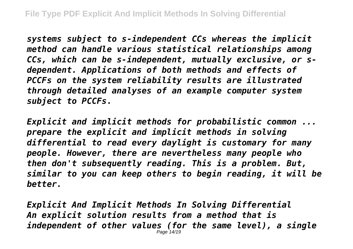*systems subject to s-independent CCs whereas the implicit method can handle various statistical relationships among CCs, which can be s-independent, mutually exclusive, or sdependent. Applications of both methods and effects of PCCFs on the system reliability results are illustrated through detailed analyses of an example computer system subject to PCCFs.*

*Explicit and implicit methods for probabilistic common ... prepare the explicit and implicit methods in solving differential to read every daylight is customary for many people. However, there are nevertheless many people who then don't subsequently reading. This is a problem. But, similar to you can keep others to begin reading, it will be better.*

*Explicit And Implicit Methods In Solving Differential An explicit solution results from a method that is independent of other values (for the same level), a single* Page 14/19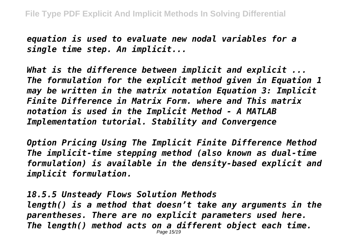*equation is used to evaluate new nodal variables for a single time step. An implicit...*

*What is the difference between implicit and explicit ... The formulation for the explicit method given in Equation 1 may be written in the matrix notation Equation 3: Implicit Finite Difference in Matrix Form. where and This matrix notation is used in the Implicit Method - A MATLAB Implementation tutorial. Stability and Convergence*

*Option Pricing Using The Implicit Finite Difference Method The implicit-time stepping method (also known as dual-time formulation) is available in the density-based explicit and implicit formulation.*

*18.5.5 Unsteady Flows Solution Methods length() is a method that doesn't take any arguments in the parentheses. There are no explicit parameters used here. The length() method acts on a different object each time.* Page 15/19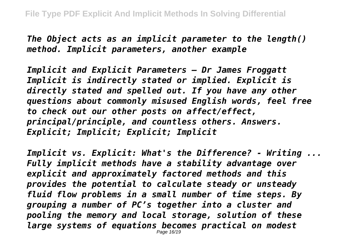*The Object acts as an implicit parameter to the length() method. Implicit parameters, another example*

*Implicit and Explicit Parameters – Dr James Froggatt Implicit is indirectly stated or implied. Explicit is directly stated and spelled out. If you have any other questions about commonly misused English words, feel free to check out our other posts on affect/effect, principal/principle, and countless others. Answers. Explicit; Implicit; Explicit; Implicit*

*Implicit vs. Explicit: What's the Difference? - Writing ... Fully implicit methods have a stability advantage over explicit and approximately factored methods and this provides the potential to calculate steady or unsteady fluid flow problems in a small number of time steps. By grouping a number of PC's together into a cluster and pooling the memory and local storage, solution of these large systems of equations becomes practical on modest* Page 16/19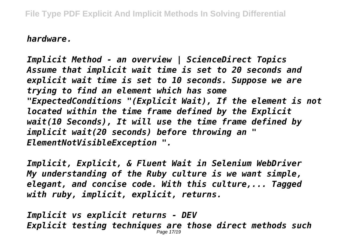*hardware.*

*Implicit Method - an overview | ScienceDirect Topics Assume that implicit wait time is set to 20 seconds and explicit wait time is set to 10 seconds. Suppose we are trying to find an element which has some "ExpectedConditions "(Explicit Wait), If the element is not located within the time frame defined by the Explicit wait(10 Seconds), It will use the time frame defined by implicit wait(20 seconds) before throwing an " ElementNotVisibleException ".*

*Implicit, Explicit, & Fluent Wait in Selenium WebDriver My understanding of the Ruby culture is we want simple, elegant, and concise code. With this culture,... Tagged with ruby, implicit, explicit, returns.*

*Implicit vs explicit returns - DEV Explicit testing techniques are those direct methods such* Page 17/19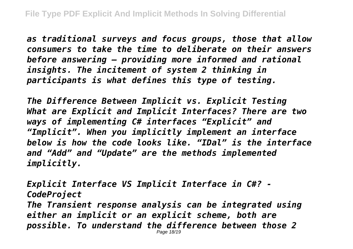*as traditional surveys and focus groups, those that allow consumers to take the time to deliberate on their answers before answering – providing more informed and rational insights. The incitement of system 2 thinking in participants is what defines this type of testing.*

*The Difference Between Implicit vs. Explicit Testing What are Explicit and Implicit Interfaces? There are two ways of implementing C# interfaces "Explicit" and "Implicit". When you implicitly implement an interface below is how the code looks like. "IDal" is the interface and "Add" and "Update" are the methods implemented implicitly.*

*Explicit Interface VS Implicit Interface in C#? - CodeProject The Transient response analysis can be integrated using either an implicit or an explicit scheme, both are possible. To understand the difference between those 2* Page 18/19